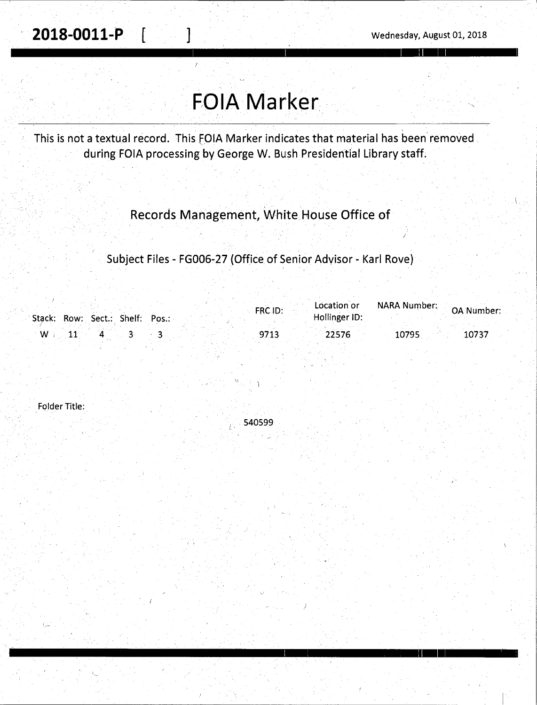# **FOIA Marker**

/

~----------------~-----~~-------------- <sup>1</sup>

I I I : II

This is not a textual record. This FOIA Marker indicates that material has been removed. during FOIA processing by George W. Bush Presidential Library staff.

Records Management, White House Office of

Subject Files - FG006-27 (Office of Senior Advisor - Karl Rove)

| Stack: Row: Sect.: Shelf: Pos.: | FRC ID: | Location or<br>Hollinger ID: | o A Number: مسترید است. OA Number |
|---------------------------------|---------|------------------------------|-----------------------------------|
| - W                             | 9713    | 22576                        | 10795<br>10737                    |

540599

L'

Folder Title: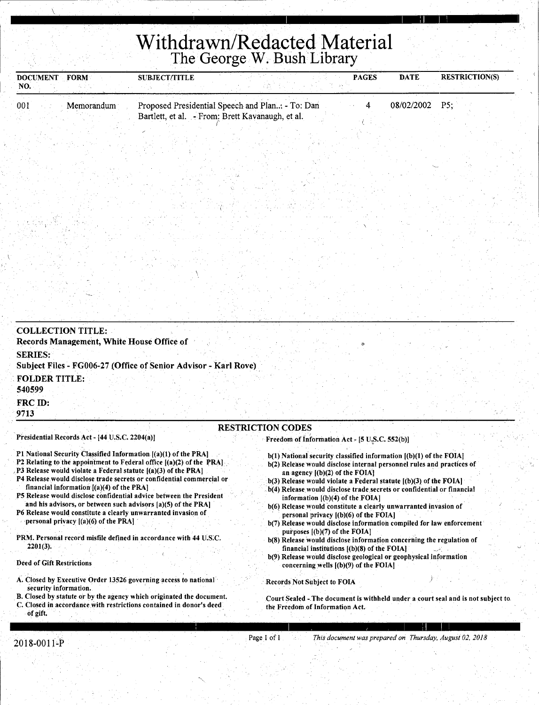## **Withdrawn/Redacted Material**  The George W. Bush.Library

' I I : II I I

| <b>DOCUMENT</b> | <b>FORM</b> | <b>SUBJECT/TITLE</b> |                                                  | <b>PAGES</b> | <b>DATE</b> | <b>RESTRICTION(S)</b> |  |
|-----------------|-------------|----------------------|--------------------------------------------------|--------------|-------------|-----------------------|--|
| NO.             |             |                      |                                                  |              |             |                       |  |
| 001             | Memorandum  |                      | Proposed Presidential Speech and Plan - To: Dan  |              | 08/02/2002  | PS:                   |  |
|                 |             |                      | Bartlett, et al. - From: Brett Kavanaugh, et al. |              |             |                       |  |
|                 |             |                      |                                                  |              |             |                       |  |

| <b>COLLECTION TITLE:</b>                                                                                                                                                                                                                                                                                                                                                                                                                                                                                                                                         |                                                                                                                                                                                                                                                                                                                                                                                                                                                                                                                                                                                                                                                                                                                                                                 |
|------------------------------------------------------------------------------------------------------------------------------------------------------------------------------------------------------------------------------------------------------------------------------------------------------------------------------------------------------------------------------------------------------------------------------------------------------------------------------------------------------------------------------------------------------------------|-----------------------------------------------------------------------------------------------------------------------------------------------------------------------------------------------------------------------------------------------------------------------------------------------------------------------------------------------------------------------------------------------------------------------------------------------------------------------------------------------------------------------------------------------------------------------------------------------------------------------------------------------------------------------------------------------------------------------------------------------------------------|
| Records Management, White House Office of                                                                                                                                                                                                                                                                                                                                                                                                                                                                                                                        |                                                                                                                                                                                                                                                                                                                                                                                                                                                                                                                                                                                                                                                                                                                                                                 |
| <b>SERIES:</b>                                                                                                                                                                                                                                                                                                                                                                                                                                                                                                                                                   |                                                                                                                                                                                                                                                                                                                                                                                                                                                                                                                                                                                                                                                                                                                                                                 |
| Subject Files - FG006-27 (Office of Senior Advisor - Karl Rove)                                                                                                                                                                                                                                                                                                                                                                                                                                                                                                  |                                                                                                                                                                                                                                                                                                                                                                                                                                                                                                                                                                                                                                                                                                                                                                 |
| <b>FOLDER TITLE:</b>                                                                                                                                                                                                                                                                                                                                                                                                                                                                                                                                             |                                                                                                                                                                                                                                                                                                                                                                                                                                                                                                                                                                                                                                                                                                                                                                 |
| 540599                                                                                                                                                                                                                                                                                                                                                                                                                                                                                                                                                           |                                                                                                                                                                                                                                                                                                                                                                                                                                                                                                                                                                                                                                                                                                                                                                 |
| FRC ID:                                                                                                                                                                                                                                                                                                                                                                                                                                                                                                                                                          |                                                                                                                                                                                                                                                                                                                                                                                                                                                                                                                                                                                                                                                                                                                                                                 |
| 9713                                                                                                                                                                                                                                                                                                                                                                                                                                                                                                                                                             |                                                                                                                                                                                                                                                                                                                                                                                                                                                                                                                                                                                                                                                                                                                                                                 |
|                                                                                                                                                                                                                                                                                                                                                                                                                                                                                                                                                                  | <b>RESTRICTION CODES</b>                                                                                                                                                                                                                                                                                                                                                                                                                                                                                                                                                                                                                                                                                                                                        |
| Presidential Records Act - [44 U.S.C. 2204(a)]                                                                                                                                                                                                                                                                                                                                                                                                                                                                                                                   | Freedom of Information Act - [5 U.S.C. 552(b)]                                                                                                                                                                                                                                                                                                                                                                                                                                                                                                                                                                                                                                                                                                                  |
| P3 Release would violate a Federal statute $[(a)(3)$ of the PRA]<br>P4 Release would disclose trade secrets or confidential commercial or<br>financial information [(a)(4) of the PRA]<br><b>P5 Release would disclose confidential advice between the President</b><br>and his advisors, or between such advisors (a)(5) of the PRA]<br>P6 Release would constitute a clearly unwarranted invasion of<br>personal privacy $[(a)(6)$ of the PRA<br>PRM. Personal record misfile defined in accordance with 44 U.S.C.<br>$2201(3)$ .<br>Deed of Gift Restrictions | b(2) Release would disclose internal personnel rules and practices of<br>an agency $[(b)(2)$ of the FOIA.<br>$b(3)$ Release would violate a Federal statute $(a)(3)$ of the FOIA<br>b(4) Release would disclose trade secrets or confidential or financial<br>information $[(b)(4)$ of the FOIA]<br>b(6) Release would constitute a clearly unwarranted invasion of<br>personal privacy [(b)(6) of the FOIA]<br>b(7) Release would disclose information compiled for law enforcement<br>purposes $[(b)(7)$ of the FOIA]<br>b(8) Release would disclose information concerning the regulation of<br>financial institutions $(1)(8)$ of the FOIA.<br>b(9) Release would disclose geological or geophysical information<br>concerning wells $[(b)(9)$ of the FOIA] |
| A. Closed by Executive Order 13526 governing access to national<br>security information.                                                                                                                                                                                                                                                                                                                                                                                                                                                                         | <b>Records Not Subject to FOIA</b>                                                                                                                                                                                                                                                                                                                                                                                                                                                                                                                                                                                                                                                                                                                              |
| B. Closed by statute or by the agency which originated the document.                                                                                                                                                                                                                                                                                                                                                                                                                                                                                             | Court Sealed - The document is withheld under a court seal and is not subject to                                                                                                                                                                                                                                                                                                                                                                                                                                                                                                                                                                                                                                                                                |

C. Closed in accordance.with restrictions contained in donor's deed of gift.

 $\overline{\mathcal{C}}$ 

the Freedom of Information Act.

<sup>~</sup>I , *<sup>r</sup>*r <sup>1</sup>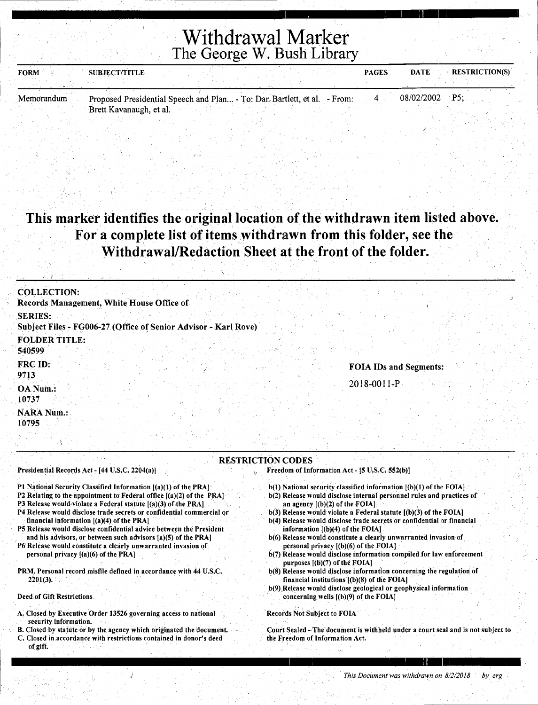## Withdrawal Marker The George.W. Bush Library

I ' I :11

<u>I i gant a gcomh</u>

| <b>FORM</b> | <b>SUBJECT/TITLE</b>                   |                     |                        | <b>PAGES</b> | <b>DATE</b>        | <b>RESTRICTION(S)</b> |
|-------------|----------------------------------------|---------------------|------------------------|--------------|--------------------|-----------------------|
|             |                                        |                     |                        |              |                    |                       |
| Mamarandum  | Duranted Durilleated Current and Dlan- | The Deadless of all | $\Gamma_{\text{meas}}$ |              | <u>08/02/2002.</u> | DS.                   |

Memorandum Proposed Presidential Speech and Plan ... - To: Dan Bartlett, et al. - From: Brett Kavanaugh, et al.

### This marker identifies the original location of the withdrawn item listed above. For a complete list of items withdrawn from this folder, see the Withdrawal/Redaction Sheet at the front of the folder.

| the Region of the Committee of the<br>istorica di                                 |  |                          |                   |                        |  |
|-----------------------------------------------------------------------------------|--|--------------------------|-------------------|------------------------|--|
| <b>COLLECTION:</b><br>Records Management, White House Office of                   |  |                          |                   |                        |  |
| <b>SERIES:</b><br>Subject Files - FG006-27 (Office of Senior Advisor - Karl Rove) |  |                          |                   |                        |  |
| <b>FOLDER TITLE:</b><br>540599                                                    |  |                          |                   |                        |  |
| FRC ID:<br>9713                                                                   |  |                          |                   | FOIA IDs and Segments: |  |
| OA Num.:<br>10737                                                                 |  |                          | $2018 - 0011 - P$ |                        |  |
| <b>NARA Num.:</b><br>10795                                                        |  |                          |                   |                        |  |
|                                                                                   |  | <b>RESTRICTION CODES</b> |                   |                        |  |

Presidential Records Act - [44 U.S.C. 2204(a)]

- Pl National Security Classified Information [(a)(I) of the PRA]
- P2 Relating to the appointment to Federal office  $[(a)(2)$  of the PRA]
- P3 Release would violate a Federal statute  $[(a)(3)$  of the PRA]
- P4 Release would disclose trade secrets or confidential commercial or
- financial information [(a)(4) of the PRA] P5 Release would disclose confidential advice between the President
- and his advisors, or between such advisors [a)(S) of the PRA] P6'Release would constitute a clearly unwarranted invasion of
- personal privacy [(a)(6) of the PRA]
- PRM. Personal record misfile defined in accordance with 44 U.S.C.  $2201(3).$

Deed of Gift Restrictions

- A. Closed by Executive Order 13526 governing access to national security information.
- B. Closed by statute or by the agency which originated the document. C. Closed in accordance with restrictions contained in donor's deed
- of gift.
- Freedom of Information Act [5 U.S.C. 552(b)]
	- $b(1)$  National security classified information  $[(b)(1)$  of the FOIA]
	- b(2) Release would disclose internal personnel rules and practices of an agency [(b)(2) of the FOIA]
	- $b(3)$  Release would violate a Federal statute  $[(b)(3)$  of the FOIA]
	- b(4) Release would disclose trade secrets or confidential or financial information [(b)(4) of the FOIA]
	- b(6) Release would constitute a cleariy unwarranted invasion of personal privacy  $[(b)(6)$  of the FOIA]
	- b(7) Release would disclose information compiled for law enforcement purposes ((b)(7) of the FOIA]
	- b(8) Release would disclose information concerning the regulation of financial institutions [(b)(8) of the FOIAJ
	- b(9) Release would disclose geological or geophysical information concerning wells  $[(b)(9)$  of the FOIA]

Records Not Subject to FOIA

Court Sealed -The document is withheld under a court seal and is not subject to the Freedom of Information Act.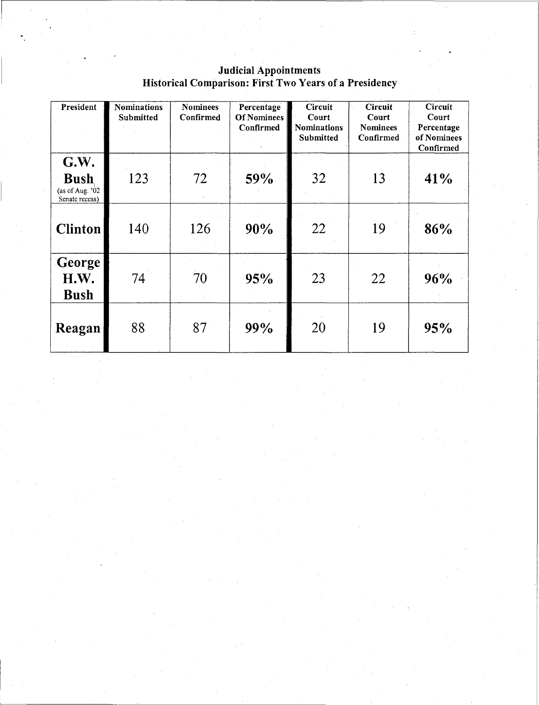| President                                                | <b>Nominations</b><br><b>Submitted</b> | <b>Nominees</b><br>Confirmed | Percentage<br><b>Of Nominees</b><br><b>Confirmed</b> | <b>Circuit</b><br>Court<br><b>Nominations</b><br><b>Submitted</b> | <b>Circuit</b><br>Court<br><b>Nominees</b><br>Confirmed | Circuit<br>Court<br>Percentage<br>of Nominees<br>Confirmed |
|----------------------------------------------------------|----------------------------------------|------------------------------|------------------------------------------------------|-------------------------------------------------------------------|---------------------------------------------------------|------------------------------------------------------------|
| G.W.<br><b>Bush</b><br>(as of Aug. '02<br>Senate recess) | 123                                    | 72                           | 59%                                                  | 32                                                                | 13                                                      | 41%                                                        |
| <b>Clinton</b>                                           | 140                                    | 126                          | 90%                                                  | 22                                                                | 19                                                      | 86%                                                        |
| George<br>H.W.<br><b>Bush</b>                            | 74                                     | 70                           | 95%                                                  | 23                                                                | 22                                                      | 96%                                                        |
| Reagan                                                   | 88                                     | 87                           | 99%                                                  | 20                                                                | 19                                                      | 95%                                                        |

#### Judicial Appointments Historical Comparison: First Two Years of a Presidency